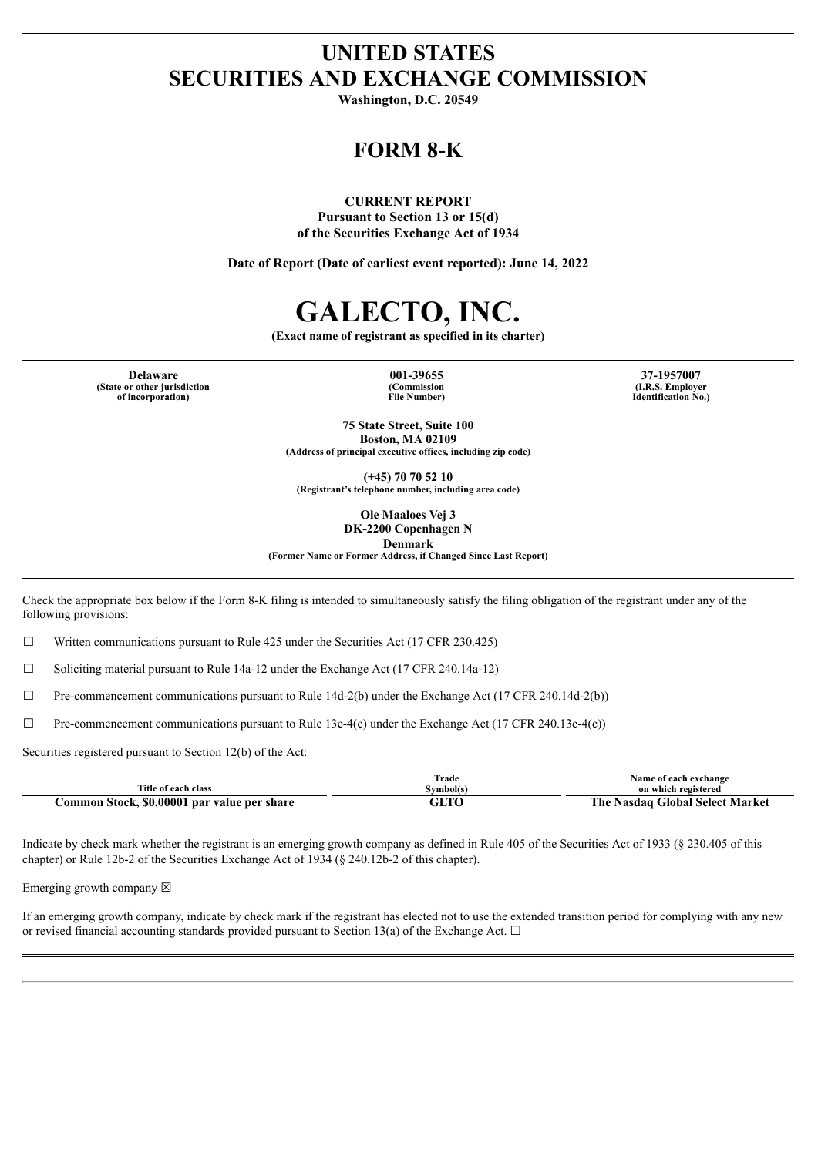## **UNITED STATES SECURITIES AND EXCHANGE COMMISSION**

**Washington, D.C. 20549**

## **FORM 8-K**

**CURRENT REPORT**

**Pursuant to Section 13 or 15(d) of the Securities Exchange Act of 1934**

**Date of Report (Date of earliest event reported): June 14, 2022**

# **GALECTO, INC.**

**(Exact name of registrant as specified in its charter)**

**(State or other jurisdiction of incorporation)**

**(Commission File Number)**

**Delaware 001-39655 37-1957007 (I.R.S. Employer Identification No.)**

> **75 State Street, Suite 100 Boston, MA 02109 (Address of principal executive offices, including zip code)**

**(+45) 70 70 52 10 (Registrant's telephone number, including area code)**

> **Ole Maaloes Vej 3 DK-2200 Copenhagen N**

**Denmark**

**(Former Name or Former Address, if Changed Since Last Report)**

Check the appropriate box below if the Form 8-K filing is intended to simultaneously satisfy the filing obligation of the registrant under any of the following provisions:

 $\Box$  Written communications pursuant to Rule 425 under the Securities Act (17 CFR 230.425)

 $\Box$  Soliciting material pursuant to Rule 14a-12 under the Exchange Act (17 CFR 240.14a-12)

 $\Box$  Pre-commencement communications pursuant to Rule 14d-2(b) under the Exchange Act (17 CFR 240.14d-2(b))

 $\Box$  Pre-commencement communications pursuant to Rule 13e-4(c) under the Exchange Act (17 CFR 240.13e-4(c))

Securities registered pursuant to Section 12(b) of the Act:

|                                             | can i<br>Frade    | Name of each exchange                |
|---------------------------------------------|-------------------|--------------------------------------|
| Title of each class                         | svmbol(s          | on which registered                  |
| Common Stock, \$0.00001 par value per share | $\cap$ t t $\cap$ | The<br>e Nasdag Global Select Market |

Indicate by check mark whether the registrant is an emerging growth company as defined in Rule 405 of the Securities Act of 1933 (§ 230.405 of this chapter) or Rule 12b-2 of the Securities Exchange Act of 1934 (§ 240.12b-2 of this chapter).

Emerging growth company  $\boxtimes$ 

If an emerging growth company, indicate by check mark if the registrant has elected not to use the extended transition period for complying with any new or revised financial accounting standards provided pursuant to Section 13(a) of the Exchange Act.  $\Box$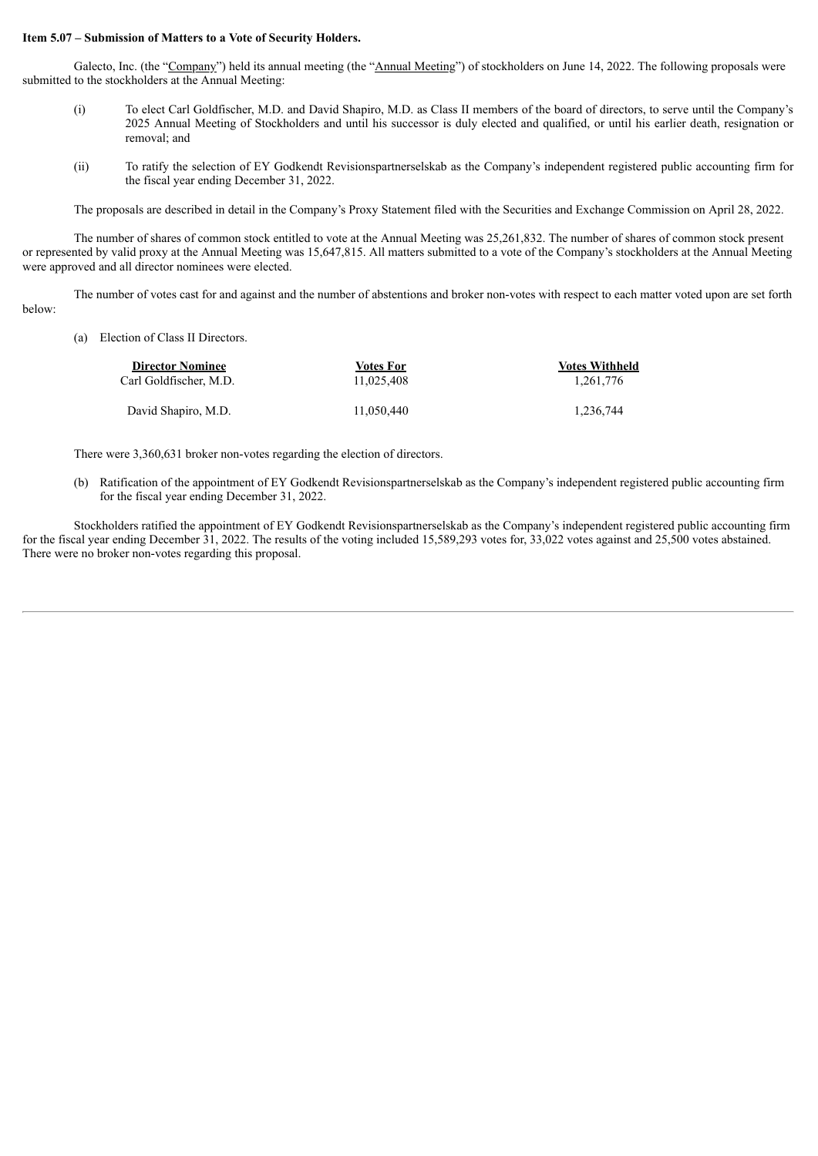#### **Item 5.07 – Submission of Matters to a Vote of Security Holders.**

Galecto, Inc. (the "Company") held its annual meeting (the "Annual Meeting") of stockholders on June 14, 2022. The following proposals were submitted to the stockholders at the Annual Meeting:

- (i) To elect Carl Goldfischer, M.D. and David Shapiro, M.D. as Class II members of the board of directors, to serve until the Company's 2025 Annual Meeting of Stockholders and until his successor is duly elected and qualified, or until his earlier death, resignation or removal; and
- (ii) To ratify the selection of EY Godkendt Revisionspartnerselskab as the Company's independent registered public accounting firm for the fiscal year ending December 31, 2022.

The proposals are described in detail in the Company's Proxy Statement filed with the Securities and Exchange Commission on April 28, 2022.

The number of shares of common stock entitled to vote at the Annual Meeting was 25,261,832. The number of shares of common stock present or represented by valid proxy at the Annual Meeting was 15,647,815. All matters submitted to a vote of the Company's stockholders at the Annual Meeting were approved and all director nominees were elected.

The number of votes cast for and against and the number of abstentions and broker non-votes with respect to each matter voted upon are set forth below:

(a) Election of Class II Directors.

| <b>Director Nominee</b> | Votes For  | <b>Votes Withheld</b> |
|-------------------------|------------|-----------------------|
| Carl Goldfischer. M.D.  | 11.025.408 | 1.261.776             |
| David Shapiro, M.D.     | 11.050.440 | 1.236.744             |

There were 3,360,631 broker non-votes regarding the election of directors.

(b) Ratification of the appointment of EY Godkendt Revisionspartnerselskab as the Company's independent registered public accounting firm for the fiscal year ending December 31, 2022.

Stockholders ratified the appointment of EY Godkendt Revisionspartnerselskab as the Company's independent registered public accounting firm for the fiscal year ending December 31, 2022. The results of the voting included 15,589,293 votes for, 33,022 votes against and 25,500 votes abstained. There were no broker non-votes regarding this proposal.